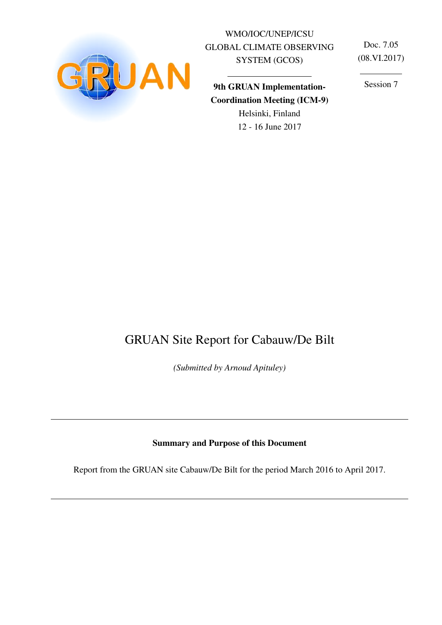

WMO/IOC/UNEP/ICSU GLOBAL CLIMATE OBSERVING SYSTEM (GCOS)

Doc. 7.05 (08.VI.2017)

9th GRUAN Implementation-Coordination Meeting (ICM-9) Helsinki, Finland

12 - 16 June 2017

Session 7

# GRUAN Site Report for Cabauw/De Bilt

*(Submitted by Arnoud Apituley)*

#### Summary and Purpose of this Document

Report from the GRUAN site Cabauw/De Bilt for the period March 2016 to April 2017.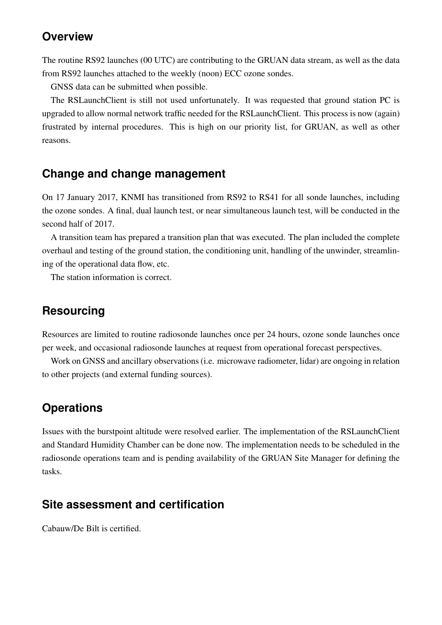## **Overview**

The routine RS92 launches (00 UTC) are contributing to the GRUAN data stream, as well as the data from RS92 launches attached to the weekly (noon) ECC ozone sondes.

GNSS data can be submitted when possible.

The RSLaunchClient is still not used unfortunately. It was requested that ground station PC is upgraded to allow normal network traffic needed for the RSLaunchClient. This process is now (again) frustrated by internal procedures. This is high on our priority list, for GRUAN, as well as other reasons.

## **Change and change management**

On 17 January 2017, KNMI has transitioned from RS92 to RS41 for all sonde launches, including the ozone sondes. A final, dual launch test, or near simultaneous launch test, will be conducted in the second half of 2017.

A transition team has prepared a transition plan that was executed. The plan included the complete overhaul and testing of the ground station, the conditioning unit, handling of the unwinder, streamlining of the operational data flow, etc.

The station information is correct.

## **Resourcing**

Resources are limited to routine radiosonde launches once per 24 hours, ozone sonde launches once per week, and occasional radiosonde launches at request from operational forecast perspectives.

Work on GNSS and ancillary observations (i.e. microwave radiometer, lidar) are ongoing in relation to other projects (and external funding sources).

## **Operations**

Issues with the burstpoint altitude were resolved earlier. The implementation of the RSLaunchClient and Standard Humidity Chamber can be done now. The implementation needs to be scheduled in the radiosonde operations team and is pending availability of the GRUAN Site Manager for defining the tasks.

## **Site assessment and certification**

Cabauw/De Bilt is certified.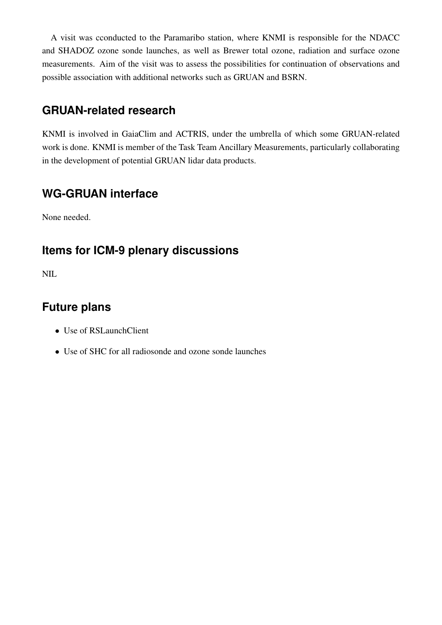A visit was cconducted to the Paramaribo station, where KNMI is responsible for the NDACC and SHADOZ ozone sonde launches, as well as Brewer total ozone, radiation and surface ozone measurements. Aim of the visit was to assess the possibilities for continuation of observations and possible association with additional networks such as GRUAN and BSRN.

# **GRUAN-related research**

KNMI is involved in GaiaClim and ACTRIS, under the umbrella of which some GRUAN-related work is done. KNMI is member of the Task Team Ancillary Measurements, particularly collaborating in the development of potential GRUAN lidar data products.

# **WG-GRUAN interface**

None needed.

# **Items for ICM-9 plenary discussions**

NIL

# **Future plans**

- Use of RSLaunchClient
- Use of SHC for all radiosonde and ozone sonde launches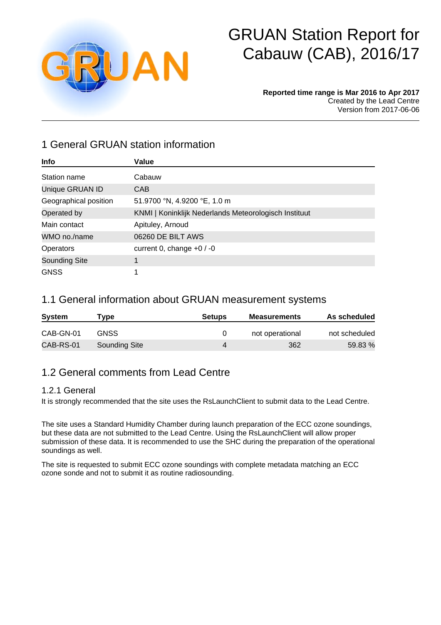

# GRUAN Station Report for Cabauw (CAB), 2016/17

#### **Reported time range is Mar 2016 to Apr 2017** Created by the Lead Centre Version from 2017-06-06

## 1 General GRUAN station information

| Info                  | Value                                                 |
|-----------------------|-------------------------------------------------------|
| Station name          | Cabauw                                                |
| Unique GRUAN ID       | <b>CAB</b>                                            |
| Geographical position | 51.9700 °N, 4.9200 °E, 1.0 m                          |
| Operated by           | KNMI   Koninklijk Nederlands Meteorologisch Instituut |
| Main contact          | Apituley, Arnoud                                      |
| WMO no./name          | 06260 DE BILT AWS                                     |
| <b>Operators</b>      | current 0, change $+0/0$                              |
| <b>Sounding Site</b>  |                                                       |
| <b>GNSS</b>           |                                                       |

#### 1.1 General information about GRUAN measurement systems

| <b>System</b> | vpe'          | <b>Setups</b> | <b>Measurements</b> | As scheduled  |
|---------------|---------------|---------------|---------------------|---------------|
| CAB-GN-01     | GNSS          |               | not operational     | not scheduled |
| CAB-RS-01     | Sounding Site |               | 362                 | 59.83 %       |

## 1.2 General comments from Lead Centre

#### 1.2.1 General

It is strongly recommended that the site uses the RsLaunchClient to submit data to the Lead Centre.

The site uses a Standard Humidity Chamber during launch preparation of the ECC ozone soundings, but these data are not submitted to the Lead Centre. Using the RsLaunchClient will allow proper submission of these data. It is recommended to use the SHC during the preparation of the operational soundings as well.

The site is requested to submit ECC ozone soundings with complete metadata matching an ECC ozone sonde and not to submit it as routine radiosounding.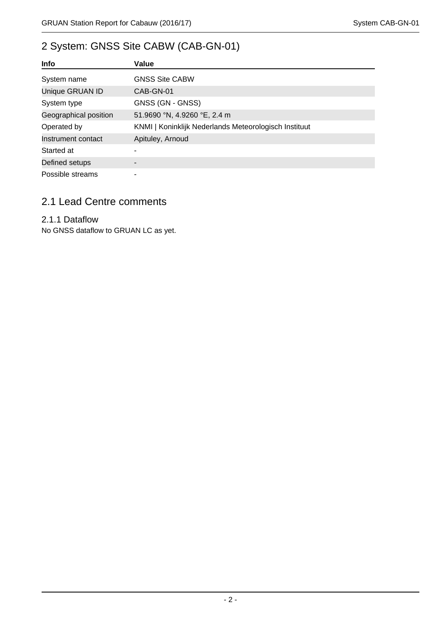# 2 System: GNSS Site CABW (CAB-GN-01)

| <b>Info</b>           | Value                                                 |
|-----------------------|-------------------------------------------------------|
| System name           | <b>GNSS Site CABW</b>                                 |
| Unique GRUAN ID       | CAB-GN-01                                             |
| System type           | GNSS (GN - GNSS)                                      |
| Geographical position | 51.9690 °N, 4.9260 °E, 2.4 m                          |
| Operated by           | KNMI   Koninklijk Nederlands Meteorologisch Instituut |
| Instrument contact    | Apituley, Arnoud                                      |
| Started at            |                                                       |
| Defined setups        |                                                       |
| Possible streams      |                                                       |

## 2.1 Lead Centre comments

#### 2.1.1 Dataflow

No GNSS dataflow to GRUAN LC as yet.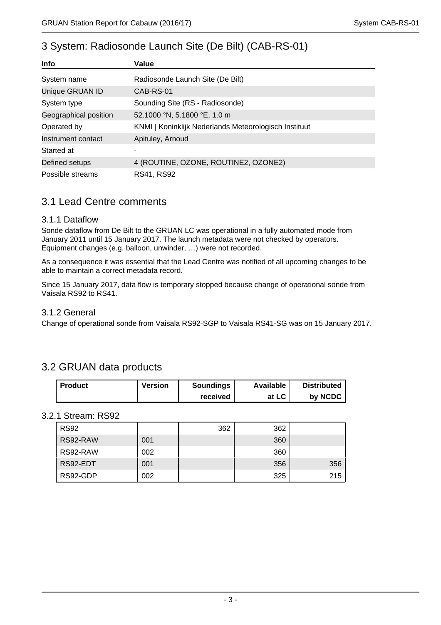| 3 System: Radiosonde Launch Site (De Bilt) (CAB-RS-01) |  |
|--------------------------------------------------------|--|
|--------------------------------------------------------|--|

| Info                         | Value                                                 |  |  |  |  |
|------------------------------|-------------------------------------------------------|--|--|--|--|
| System name                  | Radiosonde Launch Site (De Bilt)                      |  |  |  |  |
| Unique GRUAN ID<br>CAB-RS-01 |                                                       |  |  |  |  |
| System type                  | Sounding Site (RS - Radiosonde)                       |  |  |  |  |
| Geographical position        | 52.1000 °N, 5.1800 °E, 1.0 m                          |  |  |  |  |
| Operated by                  | KNMI   Koninklijk Nederlands Meteorologisch Instituut |  |  |  |  |
| Instrument contact           | Apituley, Arnoud                                      |  |  |  |  |
| Started at                   |                                                       |  |  |  |  |
| Defined setups               | 4 (ROUTINE, OZONE, ROUTINE2, OZONE2)                  |  |  |  |  |
| Possible streams             | RS41, RS92                                            |  |  |  |  |

#### 3.1 Lead Centre comments

#### 3.1.1 Dataflow

Sonde dataflow from De Bilt to the GRUAN LC was operational in a fully automated mode from January 2011 until 15 January 2017. The launch metadata were not checked by operators. Equipment changes (e.g. balloon, unwinder, …) were not recorded.

As a consequence it was essential that the Lead Centre was notified of all upcoming changes to be able to maintain a correct metadata record.

Since 15 January 2017, data flow is temporary stopped because change of operational sonde from Vaisala RS92 to RS41.

#### 3.1.2 General

Change of operational sonde from Vaisala RS92-SGP to Vaisala RS41-SG was on 15 January 2017.

## 3.2 GRUAN data products

| <b>Product</b> | <b>Version</b> | <b>Soundings</b> | Available | <b>Distributed</b> |
|----------------|----------------|------------------|-----------|--------------------|
|                |                | received         | at LC     | by NCDC            |

#### 3.2.1 Stream: RS92

| <b>RS92</b> |     | 362 | 362 |     |
|-------------|-----|-----|-----|-----|
| RS92-RAW    | 001 |     | 360 |     |
| RS92-RAW    | 002 |     | 360 |     |
| RS92-EDT    | 001 |     | 356 | 356 |
| RS92-GDP    | 002 |     | 325 | 215 |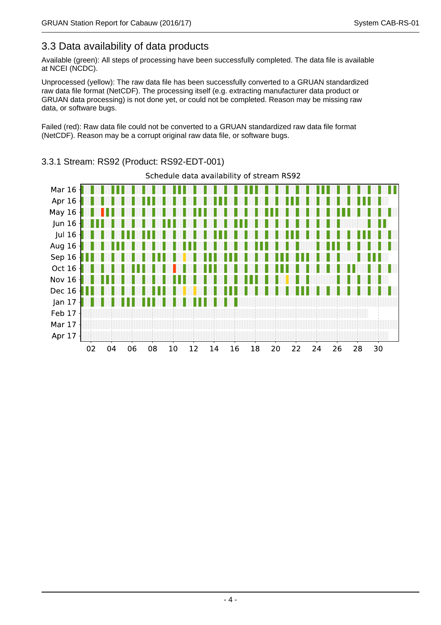## 3.3 Data availability of data products

Available (green): All steps of processing have been successfully completed. The data file is available at NCEI (NCDC).

Unprocessed (yellow): The raw data file has been successfully converted to a GRUAN standardized raw data file format (NetCDF). The processing itself (e.g. extracting manufacturer data product or GRUAN data processing) is not done yet, or could not be completed. Reason may be missing raw data, or software bugs.

Failed (red): Raw data file could not be converted to a GRUAN standardized raw data file format (NetCDF). Reason may be a corrupt original raw data file, or software bugs.



#### 3.3.1 Stream: RS92 (Product: RS92-EDT-001)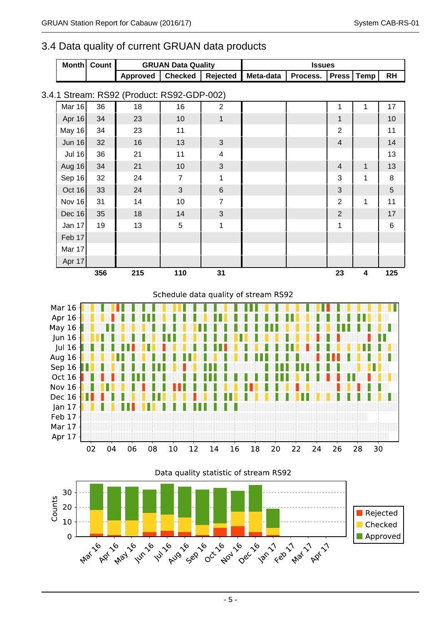#### 3.4 Data quality of current GRUAN data products

|  | Month Count I | <b>GRUAN Data Quality</b>                                           |  | <b>Issues</b> |  |  |  |  |    |
|--|---------------|---------------------------------------------------------------------|--|---------------|--|--|--|--|----|
|  |               | Approved   Checked   Rejected   Meta-data   Process.   Press   Temp |  |               |  |  |  |  | RH |

#### 3.4.1 Stream: RS92 (Product: RS92-GDP-002)

|               |     |     |                | $\overline{\phantom{a}}$ |  |                |                         |                |
|---------------|-----|-----|----------------|--------------------------|--|----------------|-------------------------|----------------|
| Mar 16        | 36  | 18  | 16             | $\overline{2}$           |  | 1              | 1                       | 17             |
| Apr 16        | 34  | 23  | 10             | $\mathbf{1}$             |  | $\mathbf{1}$   |                         | 10             |
| May 16        | 34  | 23  | 11             |                          |  | $\overline{2}$ |                         | 11             |
| Jun $16$      | 32  | 16  | 13             | $\mathfrak{S}$           |  | $\overline{4}$ |                         | 14             |
| <b>Jul 16</b> | 36  | 21  | 11             | $\overline{\mathbf{4}}$  |  |                |                         | 13             |
| Aug 16        | 34  | 21  | 10             | $\mathfrak{S}$           |  | $\overline{4}$ | $\mathbf{1}$            | 13             |
| Sep $16$      | 32  | 24  | $\overline{7}$ | 1                        |  | 3              | 1                       | $\bf 8$        |
| Oct 16        | 33  | 24  | 3              | $\,6\,$                  |  | $\mathfrak{S}$ |                         | $\overline{5}$ |
| Nov 16        | 31  | 14  | 10             | $\overline{7}$           |  | $\overline{2}$ | 1                       | 11             |
| Dec 16        | 35  | 18  | 14             | 3                        |  | $\overline{2}$ |                         | 17             |
| Jan 17        | 19  | 13  | $5\phantom{.}$ | $\mathbf 1$              |  | 1              |                         | $\,6$          |
| Feb $17$      |     |     |                |                          |  |                |                         |                |
| Mar 17        |     |     |                |                          |  |                |                         |                |
| Apr 17        |     |     |                |                          |  |                |                         |                |
|               | 356 | 215 | 110            | 31                       |  | 23             | $\overline{\mathbf{4}}$ | 125            |

#### Schedule data quality of stream RS92



Data quality statistic of stream RS92

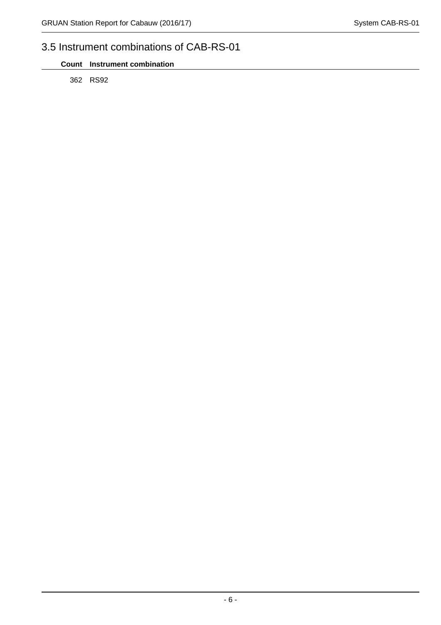# 3.5 Instrument combinations of CAB-RS-01

362 RS92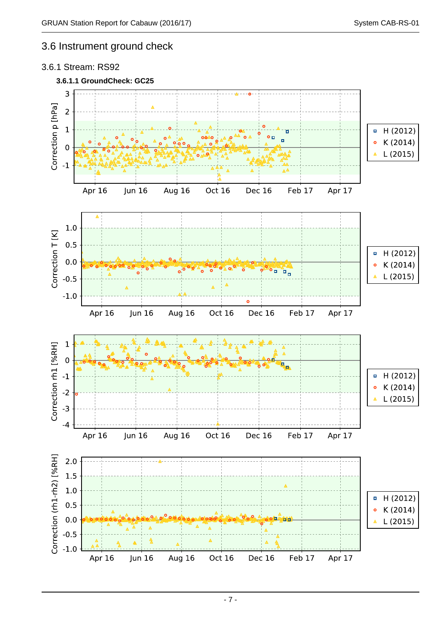### 3.6 Instrument ground check

#### 3.6.1 Stream: RS92